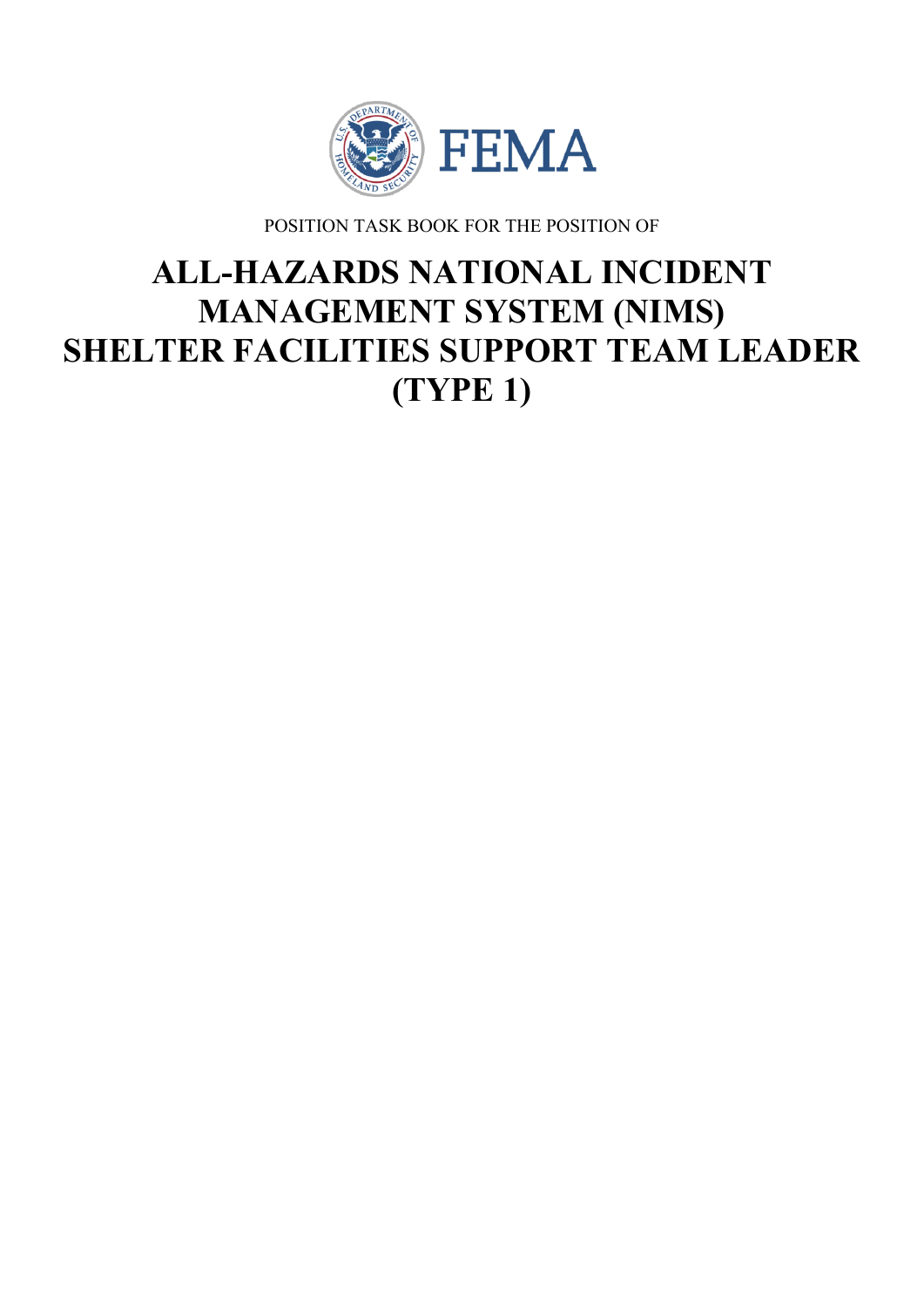

POSITION TASK BOOK FOR THE POSITION OF

# **ALL-HAZARDS NATIONAL INCIDENT MANAGEMENT SYSTEM (NIMS) SHELTER FACILITIES SUPPORT TEAM LEADER (TYPE 1)**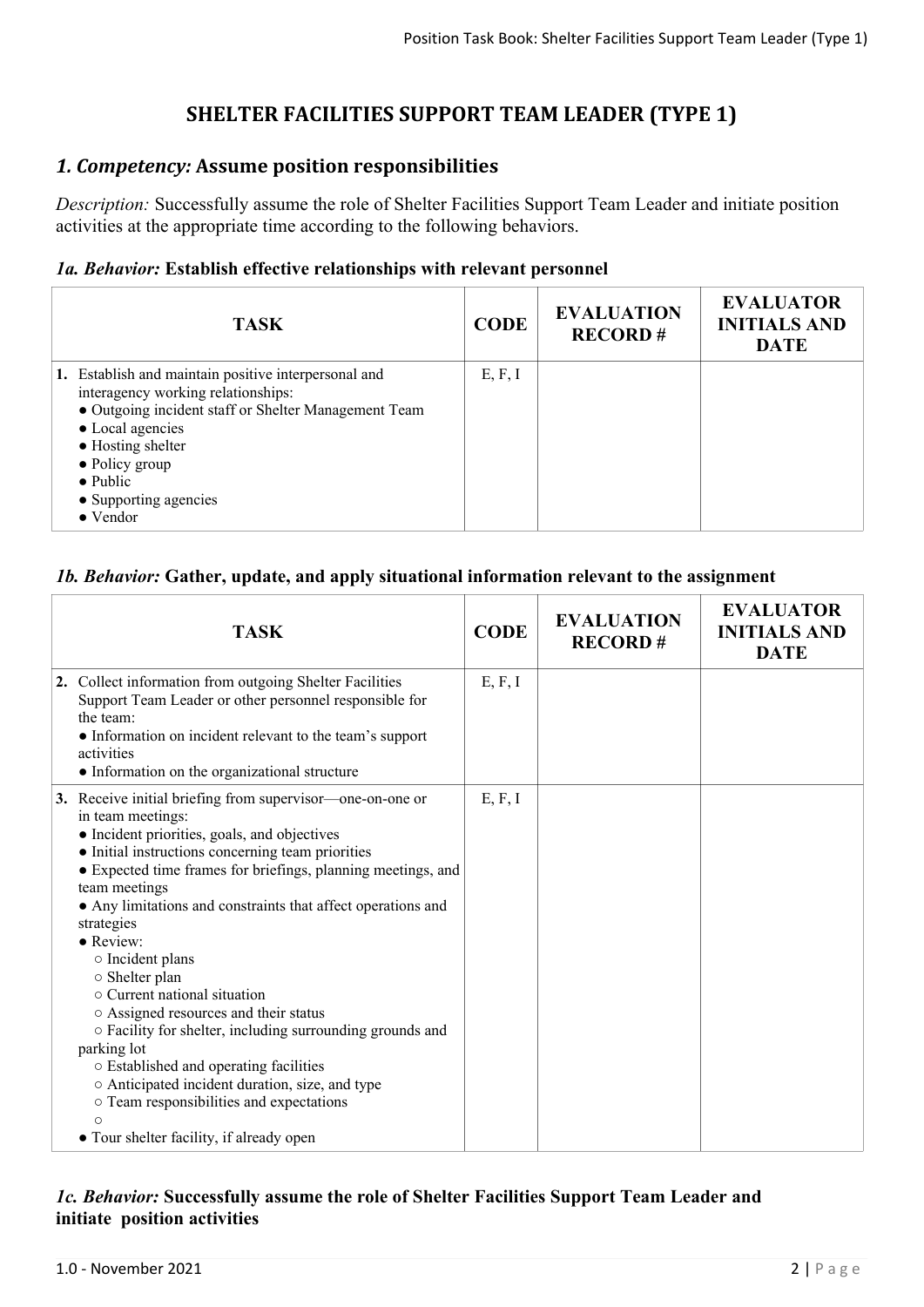# **SHELTER FACILITIES SUPPORT TEAM LEADER (TYPE 1)**

## *1. Competency:* **Assume position responsibilities**

*Description:* Successfully assume the role of Shelter Facilities Support Team Leader and initiate position activities at the appropriate time according to the following behaviors.

#### *1a. Behavior:* **Establish effective relationships with relevant personnel**

| <b>TASK</b>                                                                                                                                                                                                                                                                    | <b>CODE</b> | <b>EVALUATION</b><br><b>RECORD#</b> | <b>EVALUATOR</b><br><b>INITIALS AND</b><br><b>DATE</b> |
|--------------------------------------------------------------------------------------------------------------------------------------------------------------------------------------------------------------------------------------------------------------------------------|-------------|-------------------------------------|--------------------------------------------------------|
| 1. Establish and maintain positive interpersonal and<br>interagency working relationships:<br>• Outgoing incident staff or Shelter Management Team<br>• Local agencies<br>• Hosting shelter<br>$\bullet$ Policy group<br>$\bullet$ Public<br>• Supporting agencies<br>• Vendor | E, F, I     |                                     |                                                        |

#### *1b. Behavior:* **Gather, update, and apply situational information relevant to the assignment**

| <b>TASK</b>                                                                                                                                                                                                                                                                                                                                                                                                                                                                                                                                                                                                                                                                                                                                                                       | <b>CODE</b> | <b>EVALUATION</b><br><b>RECORD#</b> | <b>EVALUATOR</b><br><b>INITIALS AND</b><br><b>DATE</b> |
|-----------------------------------------------------------------------------------------------------------------------------------------------------------------------------------------------------------------------------------------------------------------------------------------------------------------------------------------------------------------------------------------------------------------------------------------------------------------------------------------------------------------------------------------------------------------------------------------------------------------------------------------------------------------------------------------------------------------------------------------------------------------------------------|-------------|-------------------------------------|--------------------------------------------------------|
| 2. Collect information from outgoing Shelter Facilities<br>Support Team Leader or other personnel responsible for<br>the team.<br>• Information on incident relevant to the team's support<br>activities<br>• Information on the organizational structure                                                                                                                                                                                                                                                                                                                                                                                                                                                                                                                         | E, F, I     |                                     |                                                        |
| 3. Receive initial briefing from supervisor—one-on-one or<br>in team meetings:<br>• Incident priorities, goals, and objectives<br>• Initial instructions concerning team priorities<br>• Expected time frames for briefings, planning meetings, and<br>team meetings<br>• Any limitations and constraints that affect operations and<br>strategies<br>$\bullet$ Review:<br>$\circ$ Incident plans<br>○ Shelter plan<br>$\circ$ Current national situation<br>o Assigned resources and their status<br>o Facility for shelter, including surrounding grounds and<br>parking lot<br>o Established and operating facilities<br>○ Anticipated incident duration, size, and type<br>o Team responsibilities and expectations<br>$\bigcirc$<br>• Tour shelter facility, if already open | E, F, I     |                                     |                                                        |

#### *1c. Behavior:* **Successfully assume the role of Shelter Facilities Support Team Leader and initiate position activities**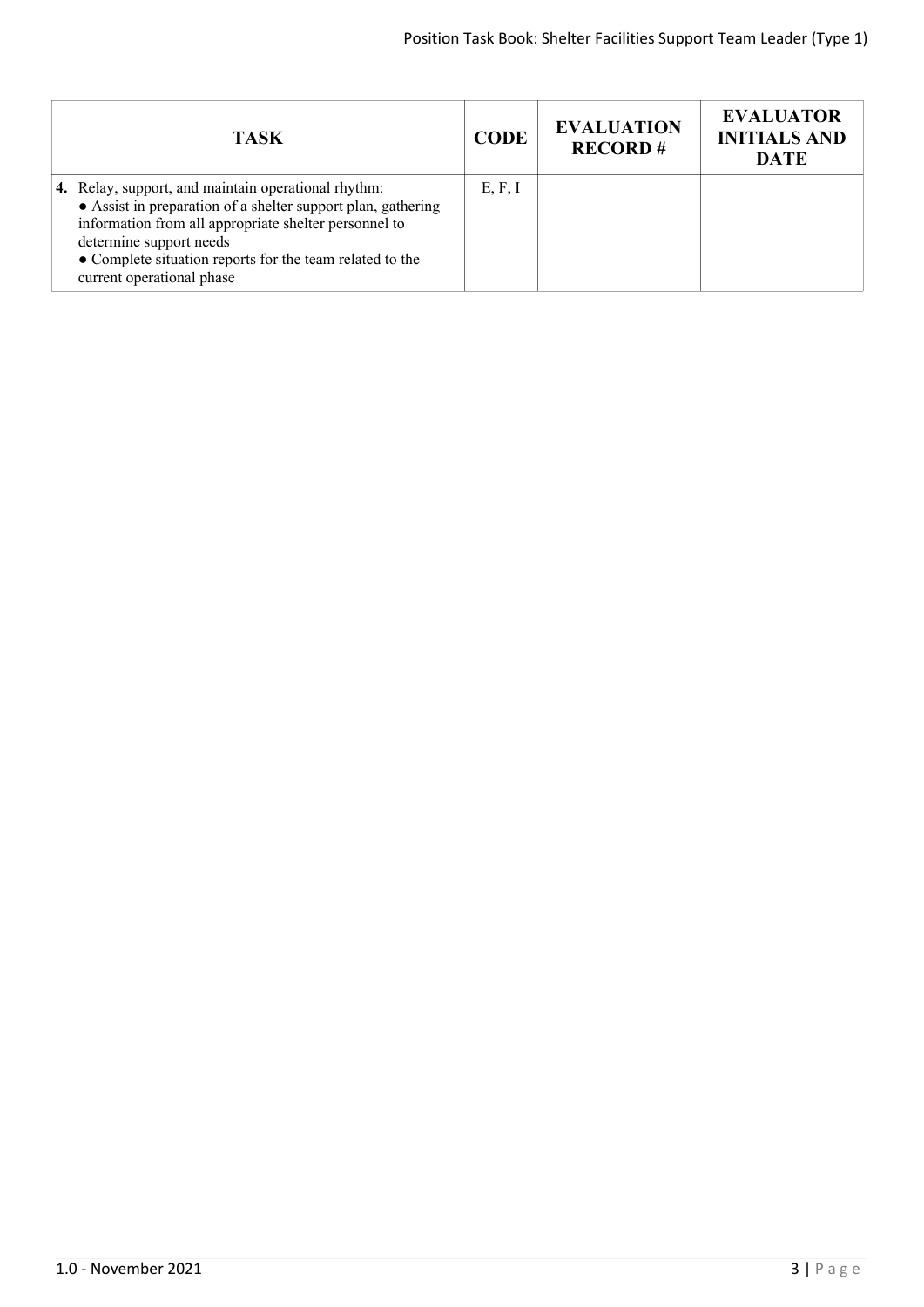| <b>TASK</b>                                                                                                                                                                                                                                                                                      | <b>CODE</b> | <b>EVALUATION</b><br><b>RECORD#</b> | <b>EVALUATOR</b><br><b>INITIALS AND</b><br><b>DATE</b> |
|--------------------------------------------------------------------------------------------------------------------------------------------------------------------------------------------------------------------------------------------------------------------------------------------------|-------------|-------------------------------------|--------------------------------------------------------|
| 4. Relay, support, and maintain operational rhythm:<br>• Assist in preparation of a shelter support plan, gathering<br>information from all appropriate shelter personnel to<br>determine support needs<br>• Complete situation reports for the team related to the<br>current operational phase | E, F, I     |                                     |                                                        |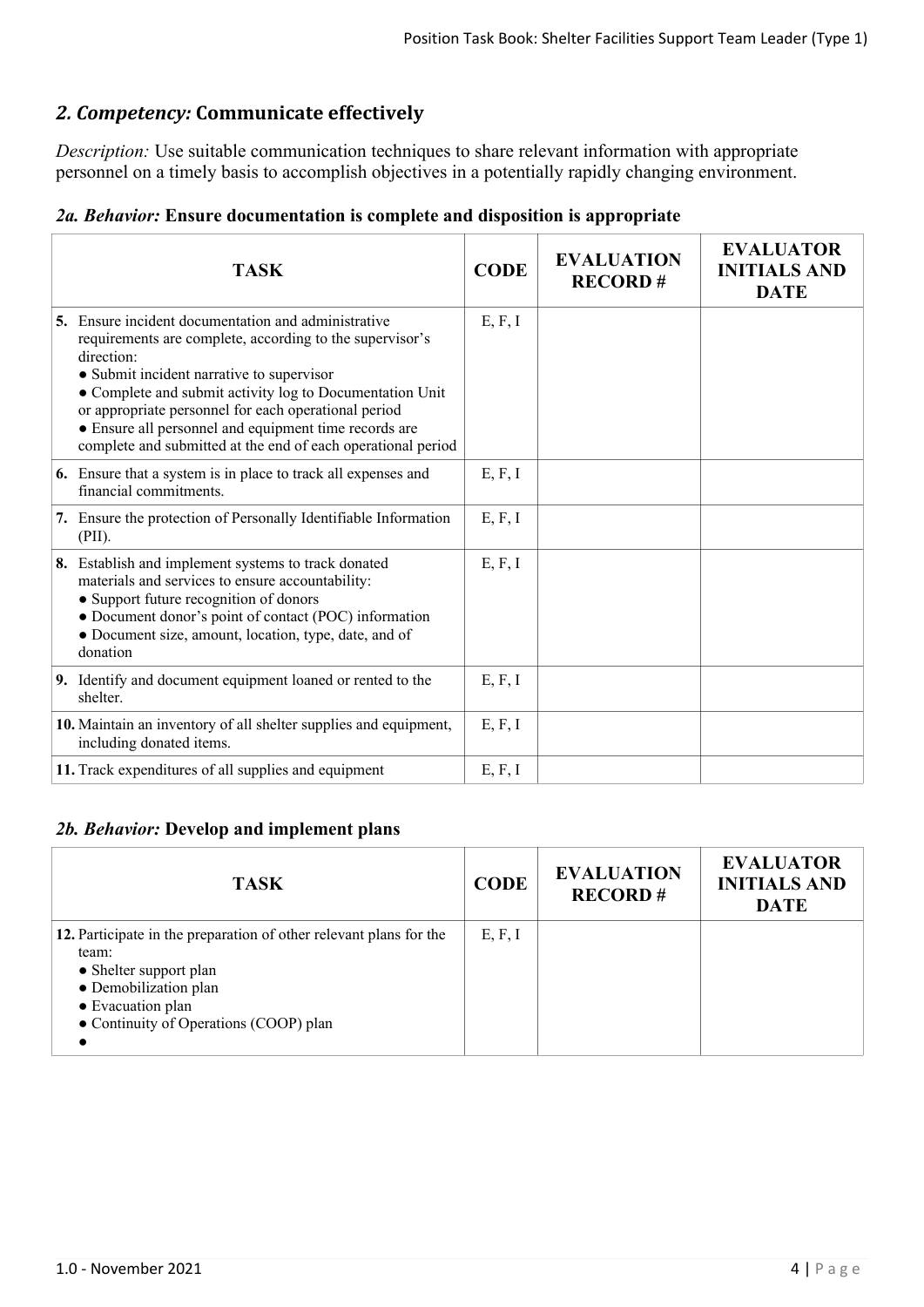# *2. Competency:* **Communicate effectively**

*Description:* Use suitable communication techniques to share relevant information with appropriate personnel on a timely basis to accomplish objectives in a potentially rapidly changing environment.

| 2a. Behavior: Ensure documentation is complete and disposition is appropriate |  |  |  |
|-------------------------------------------------------------------------------|--|--|--|
|-------------------------------------------------------------------------------|--|--|--|

| <b>TASK</b>                                                                                                                                                                                                                                                                                                                                                                                                                    | <b>CODE</b> | <b>EVALUATION</b><br><b>RECORD#</b> | <b>EVALUATOR</b><br><b>INITIALS AND</b><br><b>DATE</b> |
|--------------------------------------------------------------------------------------------------------------------------------------------------------------------------------------------------------------------------------------------------------------------------------------------------------------------------------------------------------------------------------------------------------------------------------|-------------|-------------------------------------|--------------------------------------------------------|
| <b>5.</b> Ensure incident documentation and administrative<br>requirements are complete, according to the supervisor's<br>direction:<br>• Submit incident narrative to supervisor<br>• Complete and submit activity log to Documentation Unit<br>or appropriate personnel for each operational period<br>• Ensure all personnel and equipment time records are<br>complete and submitted at the end of each operational period | E, F, I     |                                     |                                                        |
| <b>6.</b> Ensure that a system is in place to track all expenses and<br>financial commitments.                                                                                                                                                                                                                                                                                                                                 | E, F, I     |                                     |                                                        |
| 7. Ensure the protection of Personally Identifiable Information<br>(PII).                                                                                                                                                                                                                                                                                                                                                      | E, F, I     |                                     |                                                        |
| 8. Establish and implement systems to track donated<br>materials and services to ensure accountability:<br>• Support future recognition of donors<br>• Document donor's point of contact (POC) information<br>• Document size, amount, location, type, date, and of<br>donation                                                                                                                                                | E, F, I     |                                     |                                                        |
| 9. Identify and document equipment loaned or rented to the<br>shelter                                                                                                                                                                                                                                                                                                                                                          | E, F, I     |                                     |                                                        |
| 10. Maintain an inventory of all shelter supplies and equipment,<br>including donated items.                                                                                                                                                                                                                                                                                                                                   | E, F, I     |                                     |                                                        |
| 11. Track expenditures of all supplies and equipment                                                                                                                                                                                                                                                                                                                                                                           | E, F, I     |                                     |                                                        |

### *2b. Behavior:* **Develop and implement plans**

| <b>TASK</b>                                                                                                                                                                                   | <b>CODE</b> | <b>EVALUATION</b><br><b>RECORD#</b> | <b>EVALUATOR</b><br><b>INITIALS AND</b><br><b>DATE</b> |
|-----------------------------------------------------------------------------------------------------------------------------------------------------------------------------------------------|-------------|-------------------------------------|--------------------------------------------------------|
| 12. Participate in the preparation of other relevant plans for the<br>team:<br>• Shelter support plan<br>• Demobilization plan<br>• Evacuation plan<br>• Continuity of Operations (COOP) plan | E, F, I     |                                     |                                                        |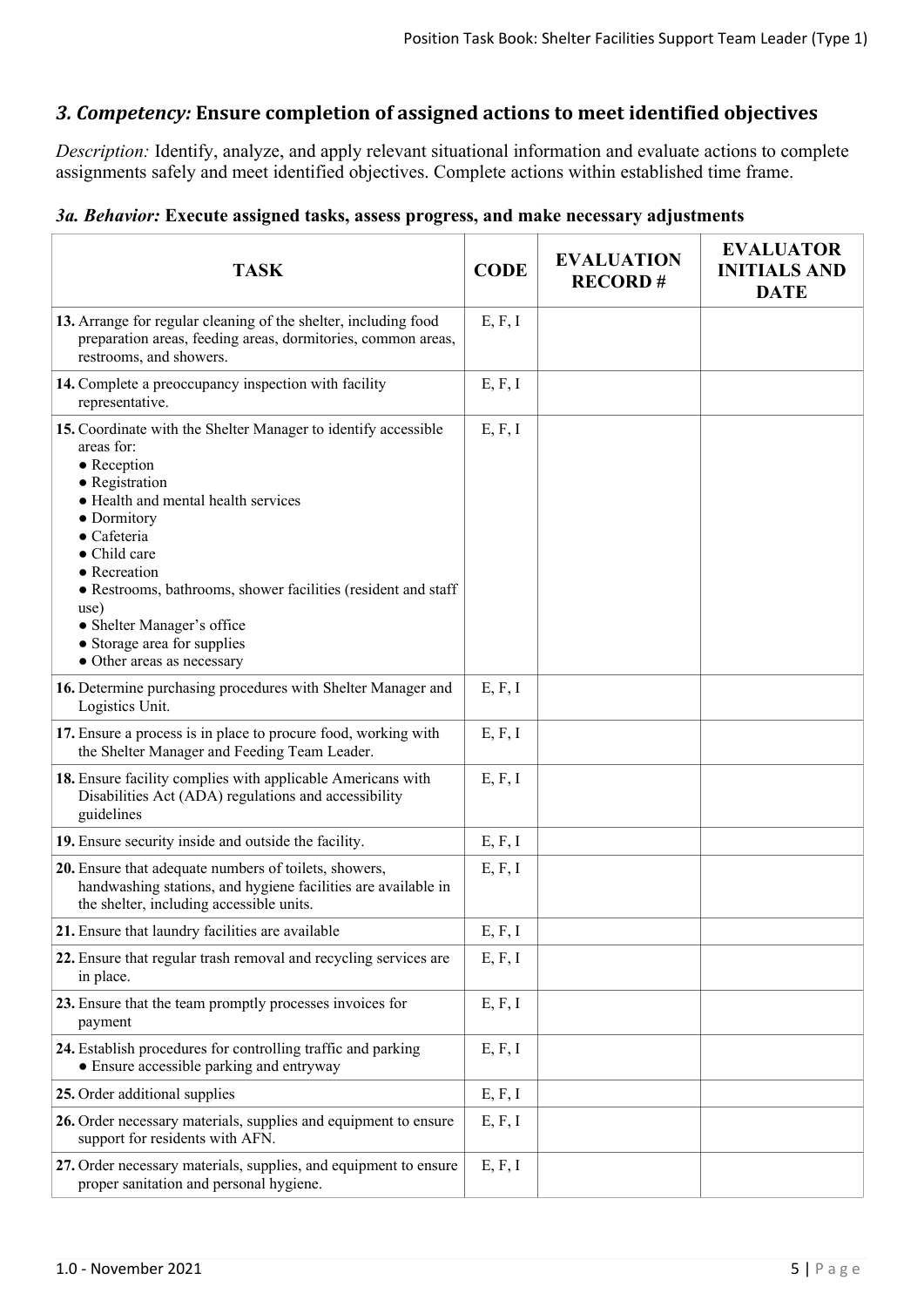## *3. Competency:* **Ensure completion of assigned actions to meet identified objectives**

*Description:* Identify, analyze, and apply relevant situational information and evaluate actions to complete assignments safely and meet identified objectives. Complete actions within established time frame.

## *3a. Behavior:* **Execute assigned tasks, assess progress, and make necessary adjustments**

| <b>TASK</b>                                                                                                                                                                                                                                                                                                                                                                                            | <b>CODE</b> | <b>EVALUATION</b><br><b>RECORD#</b> | <b>EVALUATOR</b><br><b>INITIALS AND</b><br><b>DATE</b> |
|--------------------------------------------------------------------------------------------------------------------------------------------------------------------------------------------------------------------------------------------------------------------------------------------------------------------------------------------------------------------------------------------------------|-------------|-------------------------------------|--------------------------------------------------------|
| 13. Arrange for regular cleaning of the shelter, including food<br>preparation areas, feeding areas, dormitories, common areas,<br>restrooms, and showers.                                                                                                                                                                                                                                             | E, F, I     |                                     |                                                        |
| 14. Complete a preoccupancy inspection with facility<br>representative.                                                                                                                                                                                                                                                                                                                                | E, F, I     |                                     |                                                        |
| 15. Coordinate with the Shelter Manager to identify accessible<br>areas for:<br>$\bullet$ Reception<br>• Registration<br>• Health and mental health services<br>• Dormitory<br>$\bullet$ Cafeteria<br>• Child care<br>• Recreation<br>• Restrooms, bathrooms, shower facilities (resident and staff<br>use)<br>• Shelter Manager's office<br>• Storage area for supplies<br>• Other areas as necessary | E, F, I     |                                     |                                                        |
| 16. Determine purchasing procedures with Shelter Manager and<br>Logistics Unit.                                                                                                                                                                                                                                                                                                                        | E, F, I     |                                     |                                                        |
| 17. Ensure a process is in place to procure food, working with<br>the Shelter Manager and Feeding Team Leader.                                                                                                                                                                                                                                                                                         | E, F, I     |                                     |                                                        |
| 18. Ensure facility complies with applicable Americans with<br>Disabilities Act (ADA) regulations and accessibility<br>guidelines                                                                                                                                                                                                                                                                      | E, F, I     |                                     |                                                        |
| 19. Ensure security inside and outside the facility.                                                                                                                                                                                                                                                                                                                                                   | E, F, I     |                                     |                                                        |
| 20. Ensure that adequate numbers of toilets, showers,<br>handwashing stations, and hygiene facilities are available in<br>the shelter, including accessible units.                                                                                                                                                                                                                                     | E, F, I     |                                     |                                                        |
| 21. Ensure that laundry facilities are available                                                                                                                                                                                                                                                                                                                                                       | E, F, I     |                                     |                                                        |
| 22. Ensure that regular trash removal and recycling services are<br>in place.                                                                                                                                                                                                                                                                                                                          | E, F, I     |                                     |                                                        |
| 23. Ensure that the team promptly processes invoices for<br>payment                                                                                                                                                                                                                                                                                                                                    | E, F, I     |                                     |                                                        |
| 24. Establish procedures for controlling traffic and parking<br>• Ensure accessible parking and entryway                                                                                                                                                                                                                                                                                               | E, F, I     |                                     |                                                        |
| 25. Order additional supplies                                                                                                                                                                                                                                                                                                                                                                          | E, F, I     |                                     |                                                        |
| 26. Order necessary materials, supplies and equipment to ensure<br>support for residents with AFN.                                                                                                                                                                                                                                                                                                     | E, F, I     |                                     |                                                        |
| 27. Order necessary materials, supplies, and equipment to ensure<br>proper sanitation and personal hygiene.                                                                                                                                                                                                                                                                                            | E, F, I     |                                     |                                                        |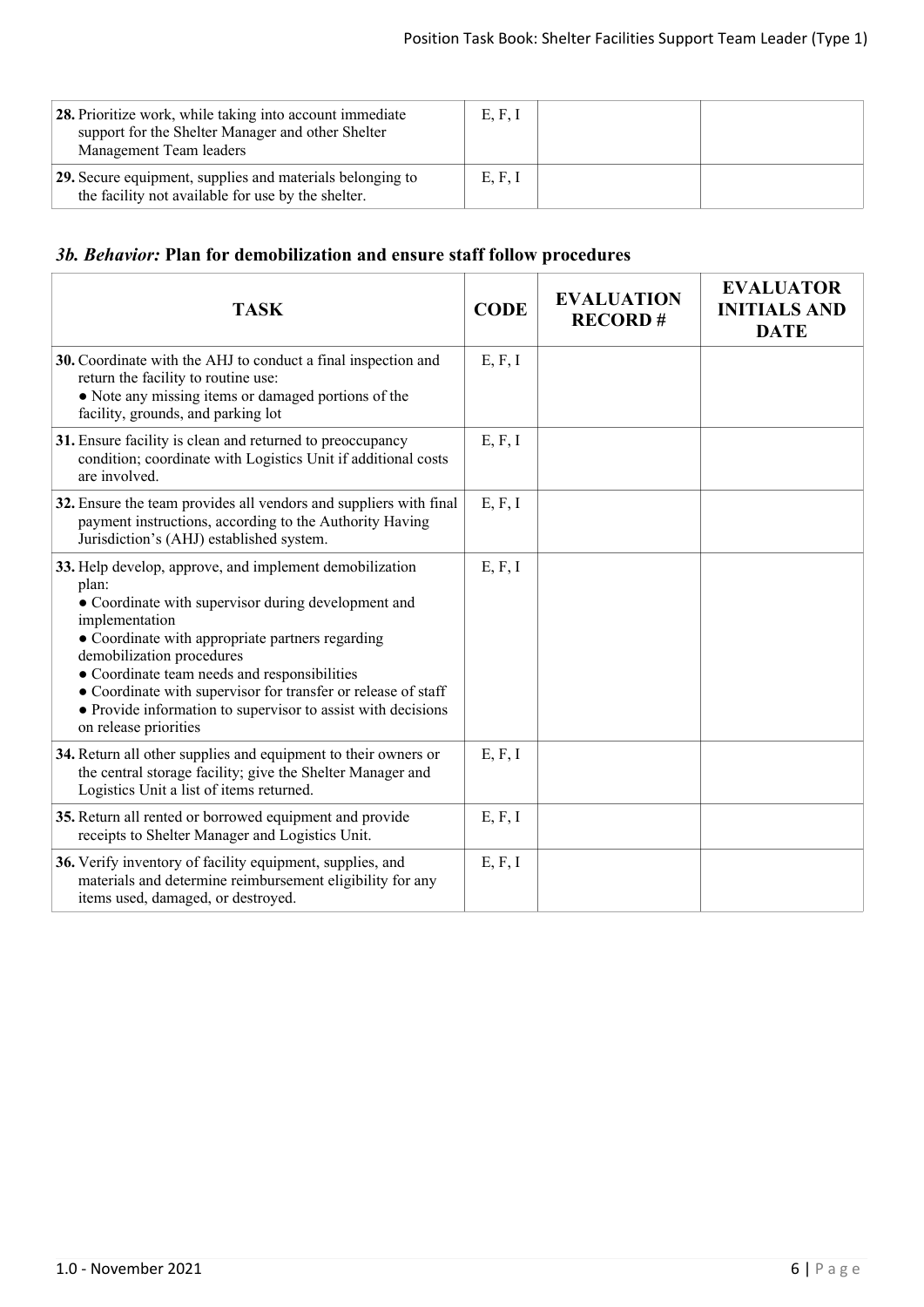| 28. Prioritize work, while taking into account immediate<br>support for the Shelter Manager and other Shelter<br>Management Team leaders | E, F, I |  |
|------------------------------------------------------------------------------------------------------------------------------------------|---------|--|
| 29. Secure equipment, supplies and materials belonging to<br>the facility not available for use by the shelter.                          | E, F, I |  |

# *3b. Behavior:* **Plan for demobilization and ensure staff follow procedures**

| <b>TASK</b>                                                                                                                                                                                                                                                                                                                                                                                                                          | <b>CODE</b> | <b>EVALUATION</b><br><b>RECORD#</b> | <b>EVALUATOR</b><br><b>INITIALS AND</b><br><b>DATE</b> |
|--------------------------------------------------------------------------------------------------------------------------------------------------------------------------------------------------------------------------------------------------------------------------------------------------------------------------------------------------------------------------------------------------------------------------------------|-------------|-------------------------------------|--------------------------------------------------------|
| 30. Coordinate with the AHJ to conduct a final inspection and<br>return the facility to routine use:<br>• Note any missing items or damaged portions of the<br>facility, grounds, and parking lot                                                                                                                                                                                                                                    | E, F, I     |                                     |                                                        |
| 31. Ensure facility is clean and returned to preoccupancy<br>condition; coordinate with Logistics Unit if additional costs<br>are involved.                                                                                                                                                                                                                                                                                          | E, F, I     |                                     |                                                        |
| 32. Ensure the team provides all vendors and suppliers with final<br>payment instructions, according to the Authority Having<br>Jurisdiction's (AHJ) established system.                                                                                                                                                                                                                                                             | E, F, I     |                                     |                                                        |
| 33. Help develop, approve, and implement demobilization<br>plan:<br>• Coordinate with supervisor during development and<br>implementation<br>• Coordinate with appropriate partners regarding<br>demobilization procedures<br>• Coordinate team needs and responsibilities<br>• Coordinate with supervisor for transfer or release of staff<br>• Provide information to supervisor to assist with decisions<br>on release priorities | E, F, I     |                                     |                                                        |
| 34. Return all other supplies and equipment to their owners or<br>the central storage facility; give the Shelter Manager and<br>Logistics Unit a list of items returned.                                                                                                                                                                                                                                                             | E, F, I     |                                     |                                                        |
| 35. Return all rented or borrowed equipment and provide<br>receipts to Shelter Manager and Logistics Unit.                                                                                                                                                                                                                                                                                                                           | E, F, I     |                                     |                                                        |
| 36. Verify inventory of facility equipment, supplies, and<br>materials and determine reimbursement eligibility for any<br>items used, damaged, or destroyed.                                                                                                                                                                                                                                                                         | E, F, I     |                                     |                                                        |